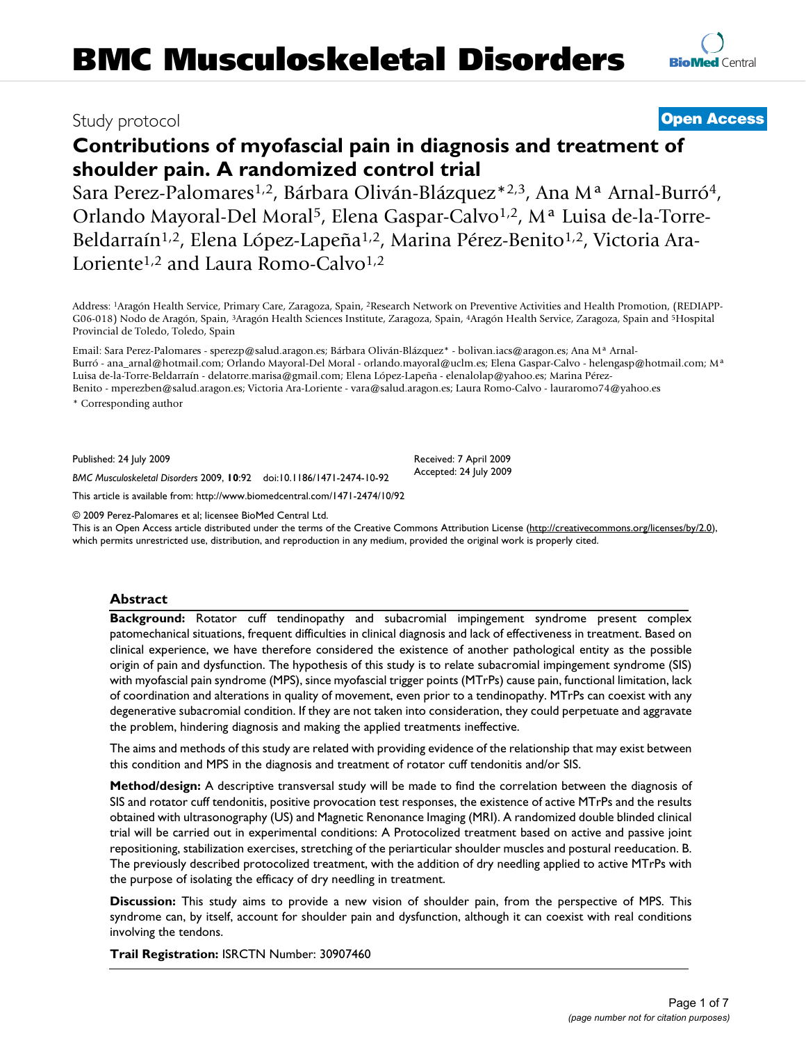# Study protocol **[Open Access](http://www.biomedcentral.com/info/about/charter/)**

**[BioMed](http://www.biomedcentral.com/)** Central

# **Contributions of myofascial pain in diagnosis and treatment of shoulder pain. A randomized control trial**

Sara Perez-Palomares1,2, Bárbara Oliván-Blázquez\*2,3, Ana Mª Arnal-Burró4, Orlando Mayoral-Del Moral5, Elena Gaspar-Calvo1,2, Mª Luisa de-la-Torre-Beldarraín<sup>1,2</sup>, Elena López-Lapeña<sup>1,2</sup>, Marina Pérez-Benito<sup>1,2</sup>, Victoria Ara-Loriente<sup>1,2</sup> and Laura Romo-Calvo<sup>1,2</sup>

Address: 1Aragón Health Service, Primary Care, Zaragoza, Spain, 2Research Network on Preventive Activities and Health Promotion, (REDIAPP-G06-018) Nodo de Aragón, Spain, 3Aragón Health Sciences Institute, Zaragoza, Spain, 4Aragón Health Service, Zaragoza, Spain and 5Hospital Provincial de Toledo, Toledo, Spain

Email: Sara Perez-Palomares - sperezp@salud.aragon.es; Bárbara Oliván-Blázquez\* - bolivan.iacs@aragon.es; Ana Mª Arnal-Burró - ana\_arnal@hotmail.com; Orlando Mayoral-Del Moral - orlando.mayoral@uclm.es; Elena Gaspar-Calvo - helengasp@hotmail.com; Mª Luisa de-la-Torre-Beldarraín - delatorre.marisa@gmail.com; Elena López-Lapeña - elenalolap@yahoo.es; Marina Pérez-Benito - mperezben@salud.aragon.es; Victoria Ara-Loriente - vara@salud.aragon.es; Laura Romo-Calvo - lauraromo74@yahoo.es \* Corresponding author

> Received: 7 April 2009 Accepted: 24 July 2009

Published: 24 July 2009

*BMC Musculoskeletal Disorders* 2009, **10**:92 doi:10.1186/1471-2474-10-92

[This article is available from: http://www.biomedcentral.com/1471-2474/10/92](http://www.biomedcentral.com/1471-2474/10/92)

© 2009 Perez-Palomares et al; licensee BioMed Central Ltd.

This is an Open Access article distributed under the terms of the Creative Commons Attribution License [\(http://creativecommons.org/licenses/by/2.0\)](http://creativecommons.org/licenses/by/2.0), which permits unrestricted use, distribution, and reproduction in any medium, provided the original work is properly cited.

## **Abstract**

**Background:** Rotator cuff tendinopathy and subacromial impingement syndrome present complex patomechanical situations, frequent difficulties in clinical diagnosis and lack of effectiveness in treatment. Based on clinical experience, we have therefore considered the existence of another pathological entity as the possible origin of pain and dysfunction. The hypothesis of this study is to relate subacromial impingement syndrome (SIS) with myofascial pain syndrome (MPS), since myofascial trigger points (MTrPs) cause pain, functional limitation, lack of coordination and alterations in quality of movement, even prior to a tendinopathy. MTrPs can coexist with any degenerative subacromial condition. If they are not taken into consideration, they could perpetuate and aggravate the problem, hindering diagnosis and making the applied treatments ineffective.

The aims and methods of this study are related with providing evidence of the relationship that may exist between this condition and MPS in the diagnosis and treatment of rotator cuff tendonitis and/or SIS.

**Method/design:** A descriptive transversal study will be made to find the correlation between the diagnosis of SIS and rotator cuff tendonitis, positive provocation test responses, the existence of active MTrPs and the results obtained with ultrasonography (US) and Magnetic Renonance Imaging (MRI). A randomized double blinded clinical trial will be carried out in experimental conditions: A Protocolized treatment based on active and passive joint repositioning, stabilization exercises, stretching of the periarticular shoulder muscles and postural reeducation. B. The previously described protocolized treatment, with the addition of dry needling applied to active MTrPs with the purpose of isolating the efficacy of dry needling in treatment.

**Discussion:** This study aims to provide a new vision of shoulder pain, from the perspective of MPS. This syndrome can, by itself, account for shoulder pain and dysfunction, although it can coexist with real conditions involving the tendons.

**Trail Registration:** ISRCTN Number: 30907460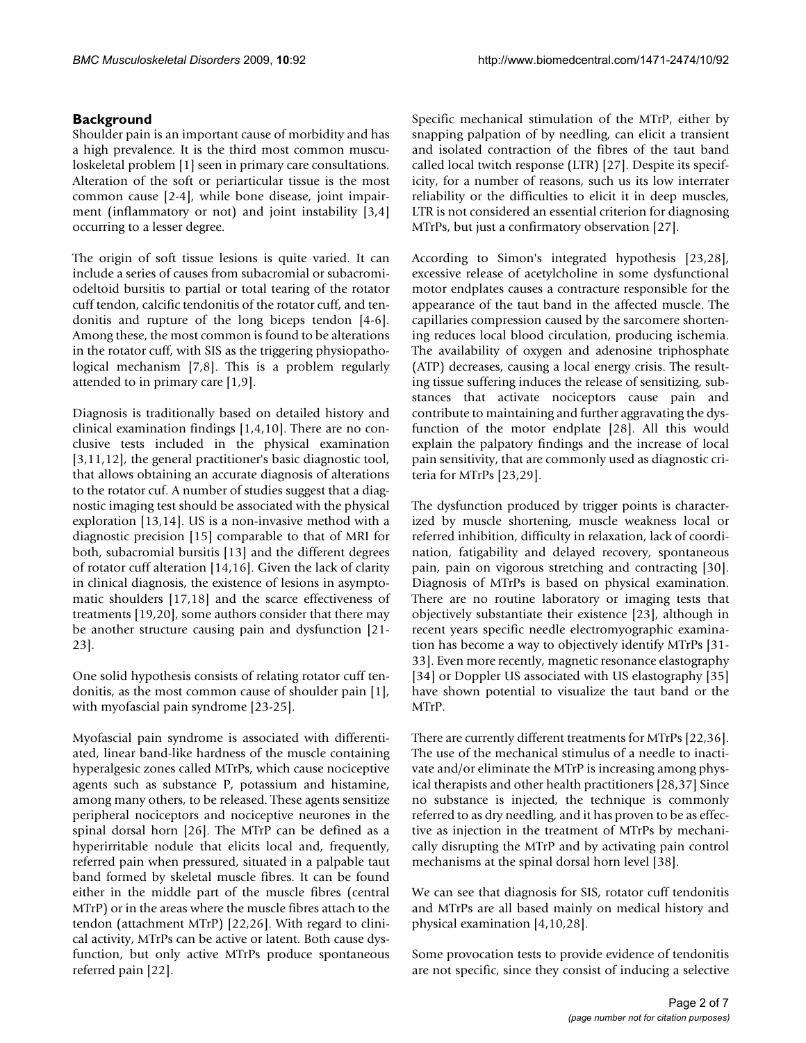# **Background**

Shoulder pain is an important cause of morbidity and has a high prevalence. It is the third most common musculoskeletal problem [1] seen in primary care consultations. Alteration of the soft or periarticular tissue is the most common cause [2-4], while bone disease, joint impairment (inflammatory or not) and joint instability [3,4] occurring to a lesser degree.

The origin of soft tissue lesions is quite varied. It can include a series of causes from subacromial or subacromiodeltoid bursitis to partial or total tearing of the rotator cuff tendon, calcific tendonitis of the rotator cuff, and tendonitis and rupture of the long biceps tendon [4-6]. Among these, the most common is found to be alterations in the rotator cuff, with SIS as the triggering physiopathological mechanism [7,8]. This is a problem regularly attended to in primary care [1,9].

Diagnosis is traditionally based on detailed history and clinical examination findings [1,4,10]. There are no conclusive tests included in the physical examination [3,11,12], the general practitioner's basic diagnostic tool, that allows obtaining an accurate diagnosis of alterations to the rotator cuf. A number of studies suggest that a diagnostic imaging test should be associated with the physical exploration [13,14]. US is a non-invasive method with a diagnostic precision [15] comparable to that of MRI for both, subacromial bursitis [13] and the different degrees of rotator cuff alteration [14,16]. Given the lack of clarity in clinical diagnosis, the existence of lesions in asymptomatic shoulders [17,18] and the scarce effectiveness of treatments [19,20], some authors consider that there may be another structure causing pain and dysfunction [21- 23].

One solid hypothesis consists of relating rotator cuff tendonitis, as the most common cause of shoulder pain [1], with myofascial pain syndrome [23-25].

Myofascial pain syndrome is associated with differentiated, linear band-like hardness of the muscle containing hyperalgesic zones called MTrPs, which cause nociceptive agents such as substance P, potassium and histamine, among many others, to be released. These agents sensitize peripheral nociceptors and nociceptive neurones in the spinal dorsal horn [26]. The MTrP can be defined as a hyperirritable nodule that elicits local and, frequently, referred pain when pressured, situated in a palpable taut band formed by skeletal muscle fibres. It can be found either in the middle part of the muscle fibres (central MTrP) or in the areas where the muscle fibres attach to the tendon (attachment MTrP) [22,26]. With regard to clinical activity, MTrPs can be active or latent. Both cause dysfunction, but only active MTrPs produce spontaneous referred pain [22].

Specific mechanical stimulation of the MTrP, either by snapping palpation of by needling, can elicit a transient and isolated contraction of the fibres of the taut band called local twitch response (LTR) [27]. Despite its specificity, for a number of reasons, such us its low interrater reliability or the difficulties to elicit it in deep muscles, LTR is not considered an essential criterion for diagnosing MTrPs, but just a confirmatory observation [27].

According to Simon's integrated hypothesis [23,28], excessive release of acetylcholine in some dysfunctional motor endplates causes a contracture responsible for the appearance of the taut band in the affected muscle. The capillaries compression caused by the sarcomere shortening reduces local blood circulation, producing ischemia. The availability of oxygen and adenosine triphosphate (ATP) decreases, causing a local energy crisis. The resulting tissue suffering induces the release of sensitizing, substances that activate nociceptors cause pain and contribute to maintaining and further aggravating the dysfunction of the motor endplate [28]. All this would explain the palpatory findings and the increase of local pain sensitivity, that are commonly used as diagnostic criteria for MTrPs [23,29].

The dysfunction produced by trigger points is characterized by muscle shortening, muscle weakness local or referred inhibition, difficulty in relaxation, lack of coordination, fatigability and delayed recovery, spontaneous pain, pain on vigorous stretching and contracting [30]. Diagnosis of MTrPs is based on physical examination. There are no routine laboratory or imaging tests that objectively substantiate their existence [23], although in recent years specific needle electromyographic examination has become a way to objectively identify MTrPs [31- 33]. Even more recently, magnetic resonance elastography [34] or Doppler US associated with US elastography [35] have shown potential to visualize the taut band or the MTrP.

There are currently different treatments for MTrPs [22,36]. The use of the mechanical stimulus of a needle to inactivate and/or eliminate the MTrP is increasing among physical therapists and other health practitioners [28,37] Since no substance is injected, the technique is commonly referred to as dry needling, and it has proven to be as effective as injection in the treatment of MTrPs by mechanically disrupting the MTrP and by activating pain control mechanisms at the spinal dorsal horn level [38].

We can see that diagnosis for SIS, rotator cuff tendonitis and MTrPs are all based mainly on medical history and physical examination [4,10,28].

Some provocation tests to provide evidence of tendonitis are not specific, since they consist of inducing a selective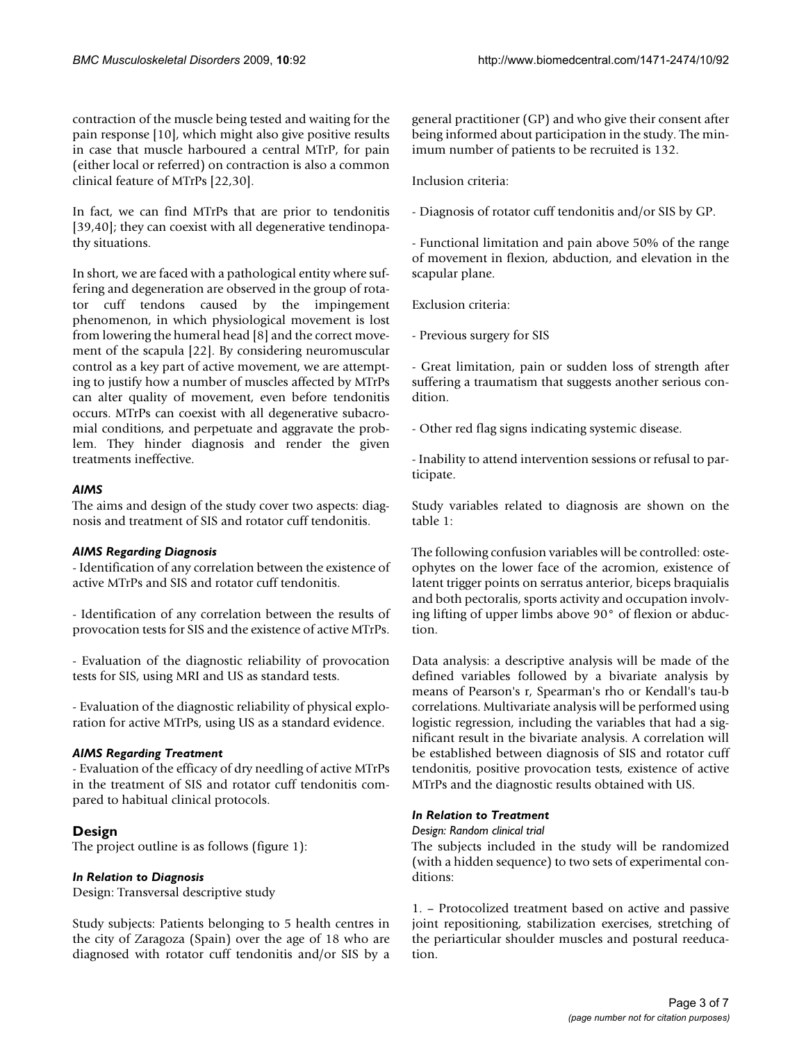contraction of the muscle being tested and waiting for the pain response [10], which might also give positive results in case that muscle harboured a central MTrP, for pain (either local or referred) on contraction is also a common clinical feature of MTrPs [22,30].

In fact, we can find MTrPs that are prior to tendonitis [39,40]; they can coexist with all degenerative tendinopathy situations.

In short, we are faced with a pathological entity where suffering and degeneration are observed in the group of rotator cuff tendons caused by the impingement phenomenon, in which physiological movement is lost from lowering the humeral head [8] and the correct movement of the scapula [22]. By considering neuromuscular control as a key part of active movement, we are attempting to justify how a number of muscles affected by MTrPs can alter quality of movement, even before tendonitis occurs. MTrPs can coexist with all degenerative subacromial conditions, and perpetuate and aggravate the problem. They hinder diagnosis and render the given treatments ineffective.

# *AIMS*

The aims and design of the study cover two aspects: diagnosis and treatment of SIS and rotator cuff tendonitis.

## *AIMS Regarding Diagnosis*

- Identification of any correlation between the existence of active MTrPs and SIS and rotator cuff tendonitis.

- Identification of any correlation between the results of provocation tests for SIS and the existence of active MTrPs.

- Evaluation of the diagnostic reliability of provocation tests for SIS, using MRI and US as standard tests.

- Evaluation of the diagnostic reliability of physical exploration for active MTrPs, using US as a standard evidence.

# *AIMS Regarding Treatment*

- Evaluation of the efficacy of dry needling of active MTrPs in the treatment of SIS and rotator cuff tendonitis compared to habitual clinical protocols.

# **Design**

The project outline is as follows (figure 1):

# *In Relation to Diagnosis*

Design: Transversal descriptive study

Study subjects: Patients belonging to 5 health centres in the city of Zaragoza (Spain) over the age of 18 who are diagnosed with rotator cuff tendonitis and/or SIS by a general practitioner (GP) and who give their consent after being informed about participation in the study. The minimum number of patients to be recruited is 132.

Inclusion criteria:

- Diagnosis of rotator cuff tendonitis and/or SIS by GP.

- Functional limitation and pain above 50% of the range of movement in flexion, abduction, and elevation in the scapular plane.

Exclusion criteria:

- Previous surgery for SIS

- Great limitation, pain or sudden loss of strength after suffering a traumatism that suggests another serious condition.

- Other red flag signs indicating systemic disease.

- Inability to attend intervention sessions or refusal to participate.

Study variables related to diagnosis are shown on the table 1:

The following confusion variables will be controlled: osteophytes on the lower face of the acromion, existence of latent trigger points on serratus anterior, biceps braquialis and both pectoralis, sports activity and occupation involving lifting of upper limbs above 90° of flexion or abduction.

Data analysis: a descriptive analysis will be made of the defined variables followed by a bivariate analysis by means of Pearson's r, Spearman's rho or Kendall's tau-b correlations. Multivariate analysis will be performed using logistic regression, including the variables that had a significant result in the bivariate analysis. A correlation will be established between diagnosis of SIS and rotator cuff tendonitis, positive provocation tests, existence of active MTrPs and the diagnostic results obtained with US.

# *In Relation to Treatment*

## *Design: Random clinical trial*

The subjects included in the study will be randomized (with a hidden sequence) to two sets of experimental conditions:

1. – Protocolized treatment based on active and passive joint repositioning, stabilization exercises, stretching of the periarticular shoulder muscles and postural reeducation.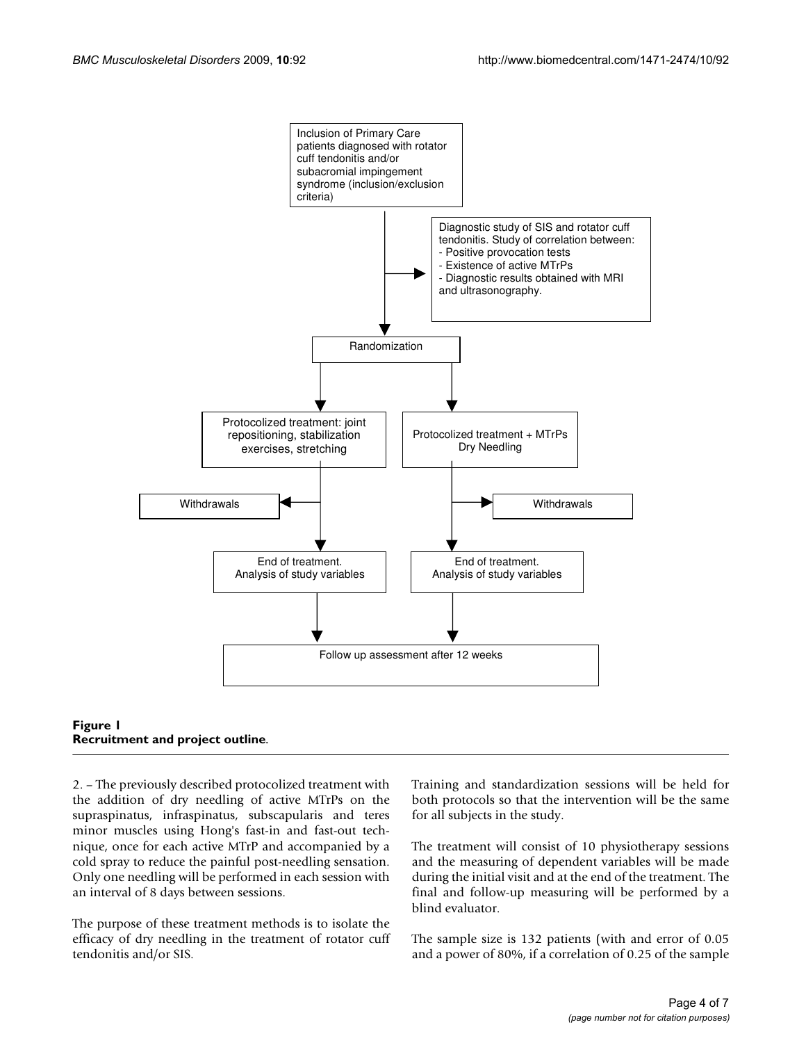

## **Figure 1 Recruitment and project outline**.

2. – The previously described protocolized treatment with the addition of dry needling of active MTrPs on the supraspinatus, infraspinatus, subscapularis and teres minor muscles using Hong's fast-in and fast-out technique, once for each active MTrP and accompanied by a cold spray to reduce the painful post-needling sensation. Only one needling will be performed in each session with an interval of 8 days between sessions.

The purpose of these treatment methods is to isolate the efficacy of dry needling in the treatment of rotator cuff tendonitis and/or SIS.

Training and standardization sessions will be held for both protocols so that the intervention will be the same for all subjects in the study.

The treatment will consist of 10 physiotherapy sessions and the measuring of dependent variables will be made during the initial visit and at the end of the treatment. The final and follow-up measuring will be performed by a blind evaluator.

The sample size is 132 patients (with and error of 0.05 and a power of 80%, if a correlation of 0.25 of the sample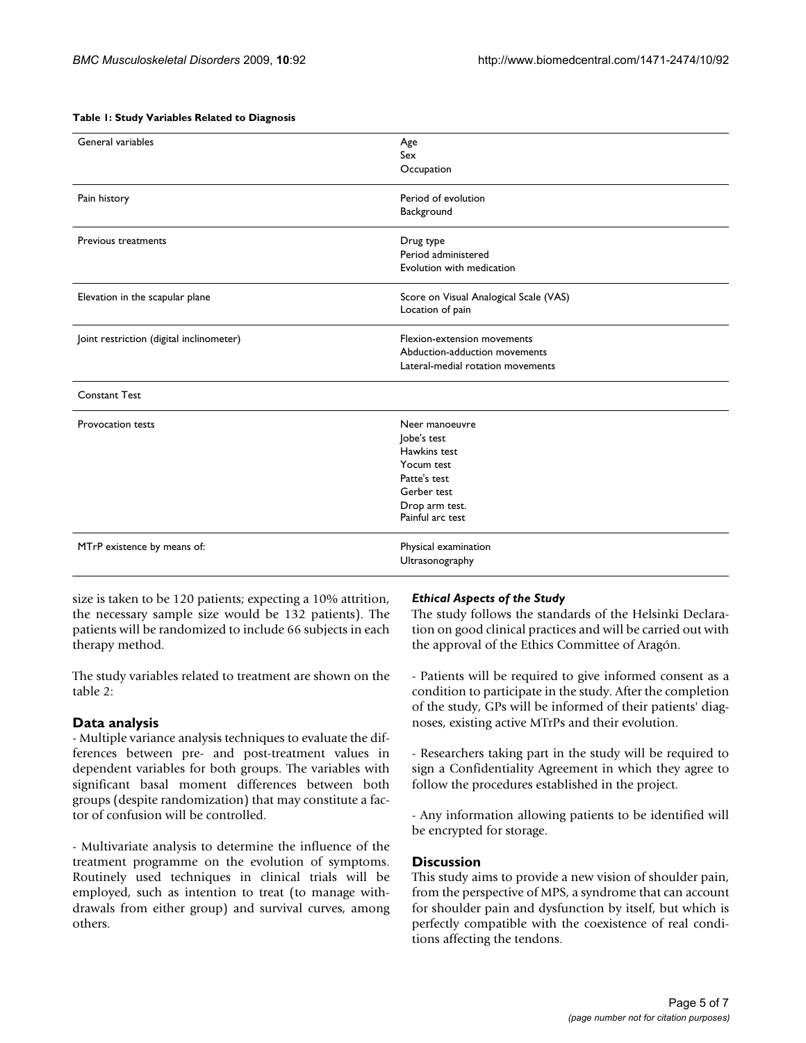#### **Table 1: Study Variables Related to Diagnosis**

| General variables                        | Age                                    |  |
|------------------------------------------|----------------------------------------|--|
|                                          | Sex                                    |  |
|                                          | Occupation                             |  |
| Pain history                             | Period of evolution                    |  |
|                                          | Background                             |  |
| <b>Previous treatments</b>               | Drug type                              |  |
|                                          | Period administered                    |  |
|                                          | Evolution with medication              |  |
| Elevation in the scapular plane          | Score on Visual Analogical Scale (VAS) |  |
|                                          | Location of pain                       |  |
| Joint restriction (digital inclinometer) | Flexion-extension movements            |  |
|                                          | Abduction-adduction movements          |  |
|                                          | Lateral-medial rotation movements      |  |
| <b>Constant Test</b>                     |                                        |  |
| Provocation tests                        | Neer manoeuvre                         |  |
|                                          | Jobe's test                            |  |
|                                          | Hawkins test                           |  |
|                                          | Yocum test                             |  |
|                                          | Patte's test                           |  |
|                                          | Gerber test                            |  |
|                                          | Drop arm test.                         |  |
|                                          | Painful arc test                       |  |
| MTrP existence by means of:              | Physical examination                   |  |
|                                          | Ultrasonography                        |  |

size is taken to be 120 patients; expecting a 10% attrition, the necessary sample size would be 132 patients). The patients will be randomized to include 66 subjects in each therapy method.

The study variables related to treatment are shown on the table 2:

## **Data analysis**

- Multiple variance analysis techniques to evaluate the differences between pre- and post-treatment values in dependent variables for both groups. The variables with significant basal moment differences between both groups (despite randomization) that may constitute a factor of confusion will be controlled.

- Multivariate analysis to determine the influence of the treatment programme on the evolution of symptoms. Routinely used techniques in clinical trials will be employed, such as intention to treat (to manage withdrawals from either group) and survival curves, among others.

#### *Ethical Aspects of the Study*

The study follows the standards of the Helsinki Declaration on good clinical practices and will be carried out with the approval of the Ethics Committee of Aragón.

- Patients will be required to give informed consent as a condition to participate in the study. After the completion of the study, GPs will be informed of their patients' diagnoses, existing active MTrPs and their evolution.

- Researchers taking part in the study will be required to sign a Confidentiality Agreement in which they agree to follow the procedures established in the project.

- Any information allowing patients to be identified will be encrypted for storage.

## **Discussion**

This study aims to provide a new vision of shoulder pain, from the perspective of MPS, a syndrome that can account for shoulder pain and dysfunction by itself, but which is perfectly compatible with the coexistence of real conditions affecting the tendons.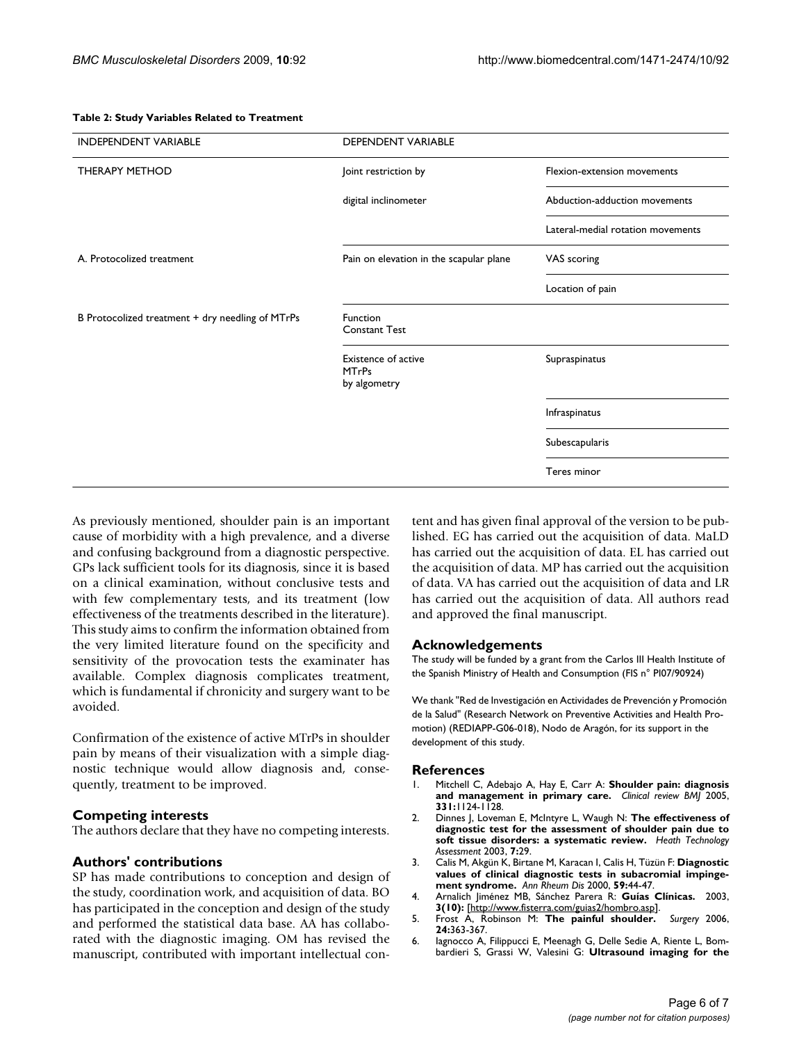| <b>INDEPENDENT VARIABLE</b>                      | <b>DEPENDENT VARIABLE</b>                           |                                   |
|--------------------------------------------------|-----------------------------------------------------|-----------------------------------|
| <b>THERAPY METHOD</b>                            | Joint restriction by                                | Flexion-extension movements       |
|                                                  | digital inclinometer                                | Abduction-adduction movements     |
|                                                  |                                                     | Lateral-medial rotation movements |
| A. Protocolized treatment                        | Pain on elevation in the scapular plane             | VAS scoring                       |
|                                                  |                                                     | Location of pain                  |
| B Protocolized treatment + dry needling of MTrPs | Function<br><b>Constant Test</b>                    |                                   |
|                                                  | Existence of active<br><b>MTrPs</b><br>by algometry | Supraspinatus                     |
|                                                  |                                                     | Infraspinatus                     |
|                                                  |                                                     | Subescapularis                    |
|                                                  |                                                     | Teres minor                       |

#### **Table 2: Study Variables Related to Treatment**

As previously mentioned, shoulder pain is an important cause of morbidity with a high prevalence, and a diverse and confusing background from a diagnostic perspective. GPs lack sufficient tools for its diagnosis, since it is based on a clinical examination, without conclusive tests and with few complementary tests, and its treatment (low effectiveness of the treatments described in the literature). This study aims to confirm the information obtained from the very limited literature found on the specificity and sensitivity of the provocation tests the examinater has available. Complex diagnosis complicates treatment, which is fundamental if chronicity and surgery want to be avoided.

Confirmation of the existence of active MTrPs in shoulder pain by means of their visualization with a simple diagnostic technique would allow diagnosis and, consequently, treatment to be improved.

#### **Competing interests**

The authors declare that they have no competing interests.

#### **Authors' contributions**

SP has made contributions to conception and design of the study, coordination work, and acquisition of data. BO has participated in the conception and design of the study and performed the statistical data base. AA has collaborated with the diagnostic imaging. OM has revised the manuscript, contributed with important intellectual content and has given final approval of the version to be published. EG has carried out the acquisition of data. MaLD has carried out the acquisition of data. EL has carried out the acquisition of data. MP has carried out the acquisition of data. VA has carried out the acquisition of data and LR has carried out the acquisition of data. All authors read and approved the final manuscript.

#### **Acknowledgements**

The study will be funded by a grant from the Carlos III Health Institute of the Spanish Ministry of Health and Consumption (FIS n° PI07/90924)

We thank "Red de Investigación en Actividades de Prevención y Promoción de la Salud" (Research Network on Preventive Activities and Health Promotion) (REDIAPP-G06-018), Nodo de Aragón, for its support in the development of this study.

#### **References**

- 1. Mitchell C, Adebajo A, Hay E, Carr A: **Shoulder pain: diagnosis and management in primary care.** *Clinical review BMJ* 2005, **331:**1124-1128.
- 2. Dinnes J, Loveman E, McIntyre L, Waugh N: **The effectiveness of diagnostic test for the assessment of shoulder pain due to soft tissue disorders: a systematic review.** *Heath Technology Assessment* 2003, **7:**29.
- 3. Calis M, Akgün K, Birtane M, Karacan I, Calis H, Tüzün F: **[Diagnostic](http://www.ncbi.nlm.nih.gov/entrez/query.fcgi?cmd=Retrieve&db=PubMed&dopt=Abstract&list_uids=10627426) [values of clinical diagnostic tests in subacromial impinge](http://www.ncbi.nlm.nih.gov/entrez/query.fcgi?cmd=Retrieve&db=PubMed&dopt=Abstract&list_uids=10627426)[ment syndrome.](http://www.ncbi.nlm.nih.gov/entrez/query.fcgi?cmd=Retrieve&db=PubMed&dopt=Abstract&list_uids=10627426)** *Ann Rheum Dis* 2000, **59:**44-47.
- 4. Arnalich Jiménez MB, Sánchez Parera R: **Guías Clínicas.** 2003, **3(10):** [[http://www.fisterra.com/guias2/hombro.asp\]](http://www.fisterra.com/guias2/hombro.asp).
- 5. Frost A, Robinson M: **The painful shoulder.** *Surgery* 2006, **24:**363-367.
- 6. Iagnocco A, Filippucci E, Meenagh G, Delle Sedie A, Riente L, Bombardieri S, Grassi W, Valesini G: **[Ultrasound imaging for the](http://www.ncbi.nlm.nih.gov/entrez/query.fcgi?cmd=Retrieve&db=PubMed&dopt=Abstract&list_uids=16539812)**